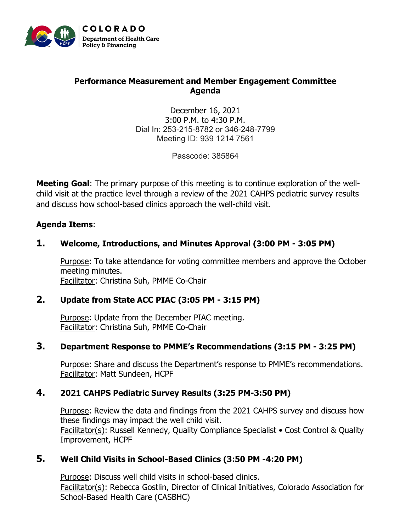

### **Performance Measurement and Member Engagement Committee Agenda**

December 16, 2021 3:00 P.M. to 4:30 P.M. Dial In: 253-215-8782 or 346-248-7799 Meeting ID: 939 1214 7561

Passcode: 385864

**Meeting Goal**: The primary purpose of this meeting is to continue exploration of the wellchild visit at the practice level through a review of the 2021 CAHPS pediatric survey results and discuss how school-based clinics approach the well-child visit.

#### **Agenda Items**:

#### **1. Welcome, Introductions, and Minutes Approval (3:00 PM - 3:05 PM)**

Purpose: To take attendance for voting committee members and approve the October meeting minutes. Facilitator: Christina Suh, PMME Co-Chair

#### **2. Update from State ACC PIAC (3:05 PM - 3:15 PM)**

Purpose: Update from the December PIAC meeting. Facilitator: Christina Suh, PMME Co-Chair

#### **3. Department Response to PMME's Recommendations (3:15 PM - 3:25 PM)**

Purpose: Share and discuss the Department's response to PMME's recommendations. Facilitator: Matt Sundeen, HCPF

#### **4. 2021 CAHPS Pediatric Survey Results (3:25 PM-3:50 PM)**

Purpose: Review the data and findings from the 2021 CAHPS survey and discuss how these findings may impact the well child visit. Facilitator(s): Russell Kennedy, Quality Compliance Specialist • Cost Control & Quality Improvement, HCPF

## **5. Well Child Visits in School-Based Clinics (3:50 PM -4:20 PM)**

Purpose: Discuss well child visits in school-based clinics. Facilitator(s): Rebecca Gostlin, Director of Clinical Initiatives, Colorado Association for School-Based Health Care (CASBHC)